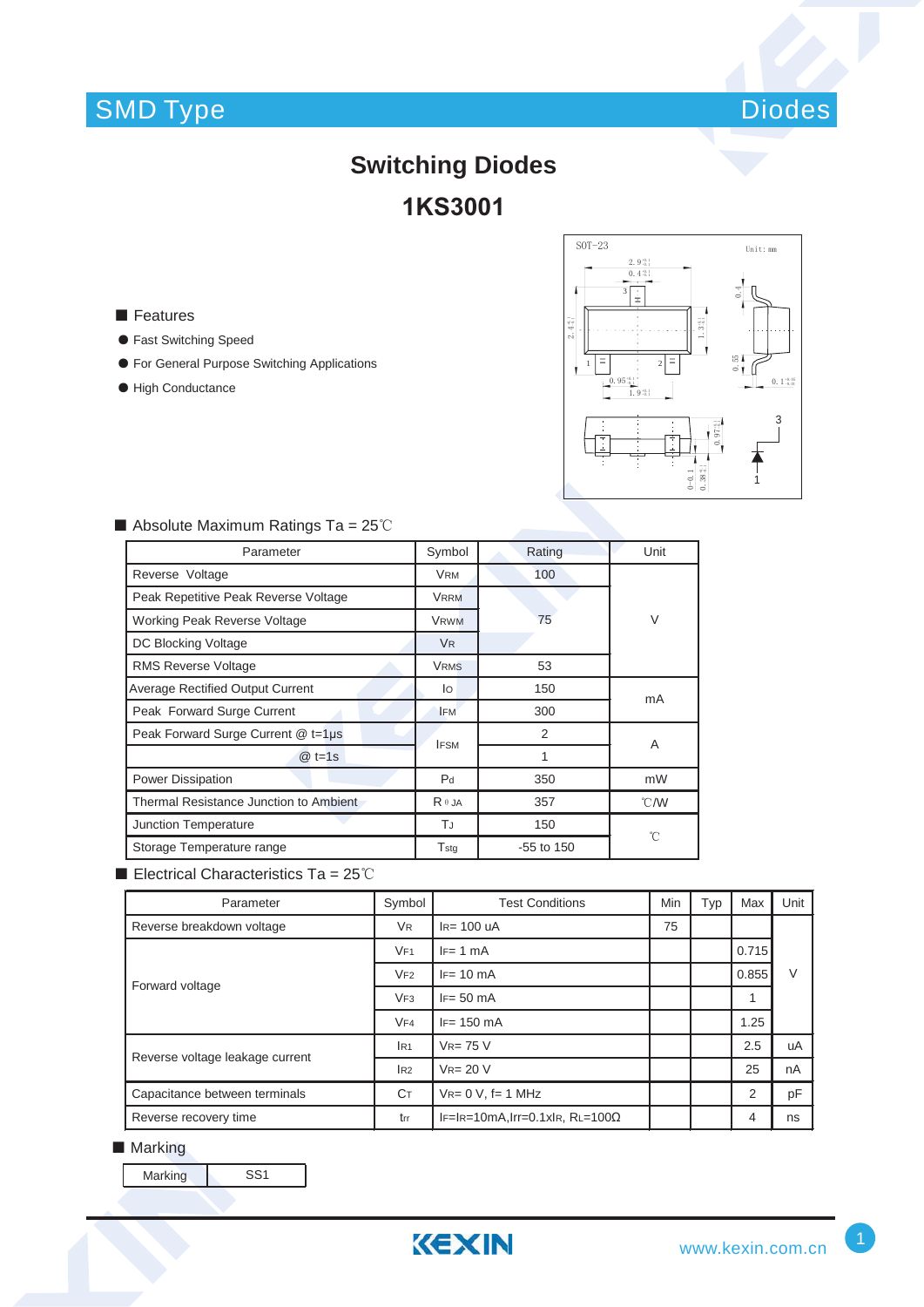## SMD Type



### **Switching Diodes 1KS3001**

■ Features

- ƽ Fast Switching Speed
- ƽ For General Purpose Switching Applications
- High Conductance



| Parameter                               | Symbol               | Rating       | Unit           |  |
|-----------------------------------------|----------------------|--------------|----------------|--|
| Reverse Voltage                         | <b>VRM</b>           | 100          |                |  |
| Peak Repetitive Peak Reverse Voltage    | <b>VRRM</b>          |              | V              |  |
| <b>Working Peak Reverse Voltage</b>     | <b>VRWM</b>          | 75           |                |  |
| DC Blocking Voltage                     | <b>V<sub>R</sub></b> |              |                |  |
| <b>RMS Reverse Voltage</b>              | <b>VRMS</b>          | 53           |                |  |
| <b>Average Rectified Output Current</b> | lo                   | 150          | mA             |  |
| Peak Forward Surge Current              | <b>IFM</b>           | 300          |                |  |
| Peak Forward Surge Current @ t=1µs      | <b>IFSM</b>          | 2            | A              |  |
| $@t=1s$                                 |                      | 1            |                |  |
| <b>Power Dissipation</b>                | P <sub>d</sub>       | 350          | mW             |  |
| Thermal Resistance Junction to Ambient  | $R \theta$ JA        | 357          | $^{\circ}$ C/W |  |
| Junction Temperature                    | TJ                   | 150          | °C             |  |
| Storage Temperature range               | Tsta                 | $-55$ to 150 |                |  |

### $\blacksquare$  Absolute Maximum Ratings Ta = 25°C

Electrical Characteristics Ta =  $25^{\circ}$ C

| Parameter                       | Symbol               | <b>Test Conditions</b>                 | <b>Min</b> | Typ | Max   | Unit |
|---------------------------------|----------------------|----------------------------------------|------------|-----|-------|------|
| Reverse breakdown voltage       | <b>V<sub>R</sub></b> | $IR= 100$ uA                           | 75         |     |       |      |
| Forward voltage                 | VF1                  | $IF = 1 mA$                            |            |     | 0.715 |      |
|                                 | VF2                  | $IF = 10 \text{ mA}$                   |            |     | 0.855 | V    |
|                                 | VF3                  | $IF = 50 \text{ mA}$                   |            |     | 4     |      |
|                                 | VF4                  | $IF = 150 \text{ mA}$                  |            |     | 1.25  |      |
| Reverse voltage leakage current | IR1                  | $V_{R=75}$ V                           |            |     | 2.5   | uA   |
|                                 | IR2                  | $V_{R} = 20 V$                         |            |     | 25    | nA   |
| Capacitance between terminals   | Cт                   | $V_{R} = 0 V$ , f= 1 MHz               |            |     | 2     | pF   |
| Reverse recovery time           | trr                  | $IF=IR=10mA, Irr=0.1xIR, RL=100\Omega$ |            |     | 4     | ns   |

#### ■ Marking

Marking SS1